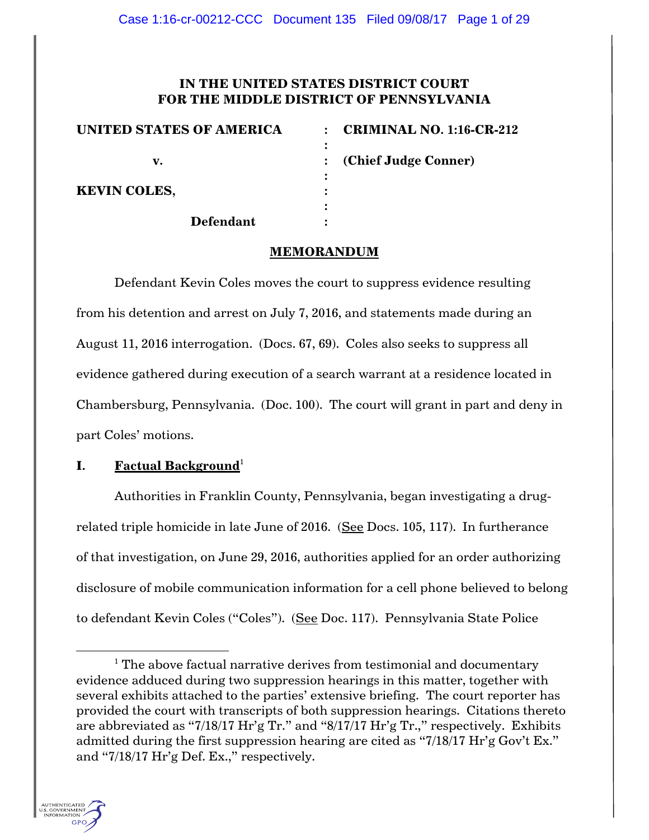# **IN THE UNITED STATES DISTRICT COURT FOR THE MIDDLE DISTRICT OF PENNSYLVANIA**

| <b>UNITED STATES OF AMERICA</b> | <b>CRIMINAL NO. 1:16-CR-212</b> |
|---------------------------------|---------------------------------|
|                                 |                                 |
| v.                              | : (Chief Judge Conner)          |
|                                 |                                 |
| <b>KEVIN COLES,</b>             |                                 |
|                                 |                                 |
| <b>Defendant</b>                |                                 |

# **MEMORANDUM**

Defendant Kevin Coles moves the court to suppress evidence resulting from his detention and arrest on July 7, 2016, and statements made during an August 11, 2016 interrogation. (Docs. 67, 69). Coles also seeks to suppress all evidence gathered during execution of a search warrant at a residence located in Chambersburg, Pennsylvania. (Doc. 100). The court will grant in part and deny in part Coles' motions.

# **I. Factual Background**<sup>1</sup>

Authorities in Franklin County, Pennsylvania, began investigating a drugrelated triple homicide in late June of 2016. (See Docs. 105, 117). In furtherance of that investigation, on June 29, 2016, authorities applied for an order authorizing disclosure of mobile communication information for a cell phone believed to belong to defendant Kevin Coles ("Coles"). (See Doc. 117). Pennsylvania State Police

 $1$  The above factual narrative derives from testimonial and documentary evidence adduced during two suppression hearings in this matter, together with several exhibits attached to the parties' extensive briefing. The court reporter has provided the court with transcripts of both suppression hearings. Citations thereto are abbreviated as "7/18/17 Hr'g Tr." and "8/17/17 Hr'g Tr.," respectively. Exhibits admitted during the first suppression hearing are cited as "7/18/17 Hr'g Gov't Ex." and "7/18/17 Hr'g Def. Ex.," respectively.



 $\overline{\phantom{a}}$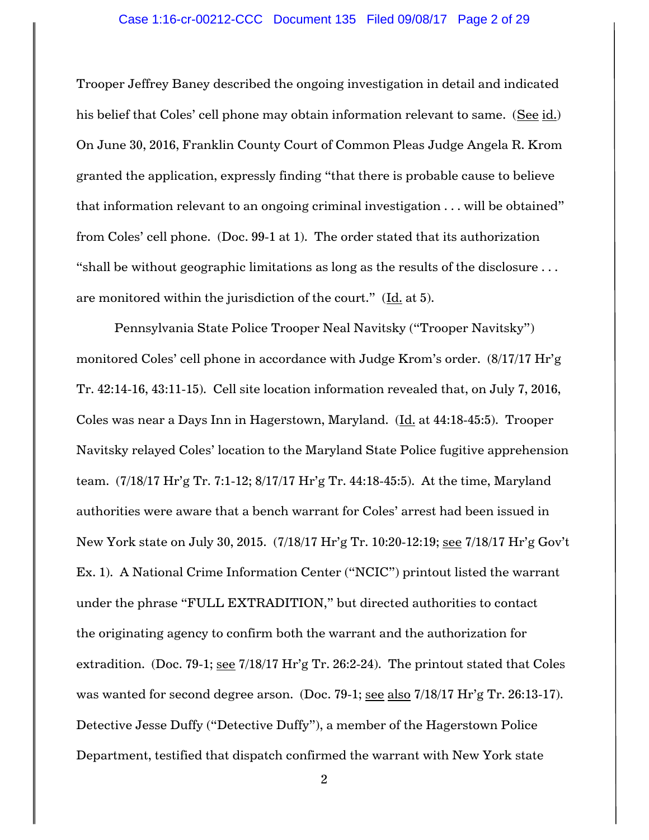#### Case 1:16-cr-00212-CCC Document 135 Filed 09/08/17 Page 2 of 29

Trooper Jeffrey Baney described the ongoing investigation in detail and indicated his belief that Coles' cell phone may obtain information relevant to same. (See id.) On June 30, 2016, Franklin County Court of Common Pleas Judge Angela R. Krom granted the application, expressly finding "that there is probable cause to believe that information relevant to an ongoing criminal investigation . . . will be obtained" from Coles' cell phone. (Doc. 99-1 at 1). The order stated that its authorization "shall be without geographic limitations as long as the results of the disclosure . . . are monitored within the jurisdiction of the court." (Id. at 5).

Pennsylvania State Police Trooper Neal Navitsky ("Trooper Navitsky") monitored Coles' cell phone in accordance with Judge Krom's order. (8/17/17 Hr'g Tr. 42:14-16, 43:11-15). Cell site location information revealed that, on July 7, 2016, Coles was near a Days Inn in Hagerstown, Maryland. (Id. at 44:18-45:5). Trooper Navitsky relayed Coles' location to the Maryland State Police fugitive apprehension team. (7/18/17 Hr'g Tr. 7:1-12; 8/17/17 Hr'g Tr. 44:18-45:5). At the time, Maryland authorities were aware that a bench warrant for Coles' arrest had been issued in New York state on July 30, 2015. (7/18/17 Hr'g Tr. 10:20-12:19; see 7/18/17 Hr'g Gov't Ex. 1). A National Crime Information Center ("NCIC") printout listed the warrant under the phrase "FULL EXTRADITION," but directed authorities to contact the originating agency to confirm both the warrant and the authorization for extradition. (Doc. 79-1; see 7/18/17 Hr'g Tr. 26:2-24). The printout stated that Coles was wanted for second degree arson. (Doc. 79-1; see also 7/18/17 Hr'g Tr. 26:13-17). Detective Jesse Duffy ("Detective Duffy"), a member of the Hagerstown Police Department, testified that dispatch confirmed the warrant with New York state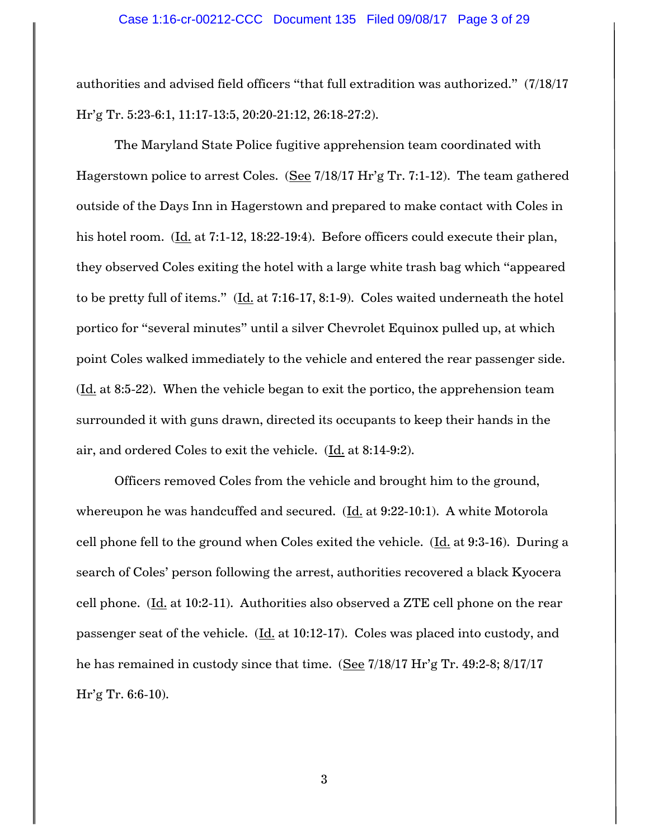authorities and advised field officers "that full extradition was authorized." (7/18/17 Hr'g Tr. 5:23-6:1, 11:17-13:5, 20:20-21:12, 26:18-27:2).

The Maryland State Police fugitive apprehension team coordinated with Hagerstown police to arrest Coles. (See 7/18/17 Hr'g Tr. 7:1-12). The team gathered outside of the Days Inn in Hagerstown and prepared to make contact with Coles in his hotel room. (Id. at 7:1-12, 18:22-19:4). Before officers could execute their plan, they observed Coles exiting the hotel with a large white trash bag which "appeared to be pretty full of items."  $(\underline{Id}$  at 7:16-17, 8:1-9). Coles waited underneath the hotel portico for "several minutes" until a silver Chevrolet Equinox pulled up, at which point Coles walked immediately to the vehicle and entered the rear passenger side.  $(\underline{Id}$  at 8:5-22). When the vehicle began to exit the portico, the apprehension team surrounded it with guns drawn, directed its occupants to keep their hands in the air, and ordered Coles to exit the vehicle. (Id. at 8:14-9:2).

Officers removed Coles from the vehicle and brought him to the ground, whereupon he was handcuffed and secured.  $(\underline{Id.}$  at 9:22-10:1). A white Motorola cell phone fell to the ground when Coles exited the vehicle.  $(\underline{Id.}]$  at 9:3-16). During a search of Coles' person following the arrest, authorities recovered a black Kyocera cell phone. (Id. at 10:2-11). Authorities also observed a ZTE cell phone on the rear passenger seat of the vehicle. (Id. at 10:12-17). Coles was placed into custody, and he has remained in custody since that time. (See 7/18/17 Hr'g Tr. 49:2-8; 8/17/17 Hr'g Tr. 6:6-10).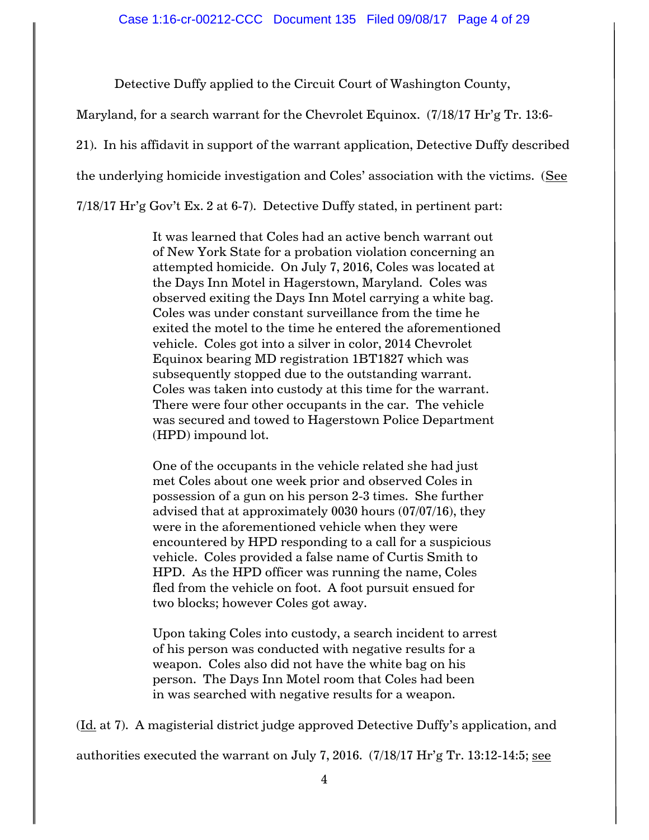Detective Duffy applied to the Circuit Court of Washington County,

Maryland, for a search warrant for the Chevrolet Equinox. (7/18/17 Hr'g Tr. 13:6-

21). In his affidavit in support of the warrant application, Detective Duffy described

the underlying homicide investigation and Coles' association with the victims. (See

7/18/17 Hr'g Gov't Ex. 2 at 6-7). Detective Duffy stated, in pertinent part:

It was learned that Coles had an active bench warrant out of New York State for a probation violation concerning an attempted homicide. On July 7, 2016, Coles was located at the Days Inn Motel in Hagerstown, Maryland. Coles was observed exiting the Days Inn Motel carrying a white bag. Coles was under constant surveillance from the time he exited the motel to the time he entered the aforementioned vehicle. Coles got into a silver in color, 2014 Chevrolet Equinox bearing MD registration 1BT1827 which was subsequently stopped due to the outstanding warrant. Coles was taken into custody at this time for the warrant. There were four other occupants in the car. The vehicle was secured and towed to Hagerstown Police Department (HPD) impound lot.

One of the occupants in the vehicle related she had just met Coles about one week prior and observed Coles in possession of a gun on his person 2-3 times. She further advised that at approximately 0030 hours (07/07/16), they were in the aforementioned vehicle when they were encountered by HPD responding to a call for a suspicious vehicle. Coles provided a false name of Curtis Smith to HPD. As the HPD officer was running the name, Coles fled from the vehicle on foot. A foot pursuit ensued for two blocks; however Coles got away.

Upon taking Coles into custody, a search incident to arrest of his person was conducted with negative results for a weapon. Coles also did not have the white bag on his person. The Days Inn Motel room that Coles had been in was searched with negative results for a weapon.

(Id. at 7). A magisterial district judge approved Detective Duffy's application, and

authorities executed the warrant on July 7, 2016.  $(7/18/17 \text{ H} \text{r} \text{'g} \text{Tr}$ . 13:12-14:5; see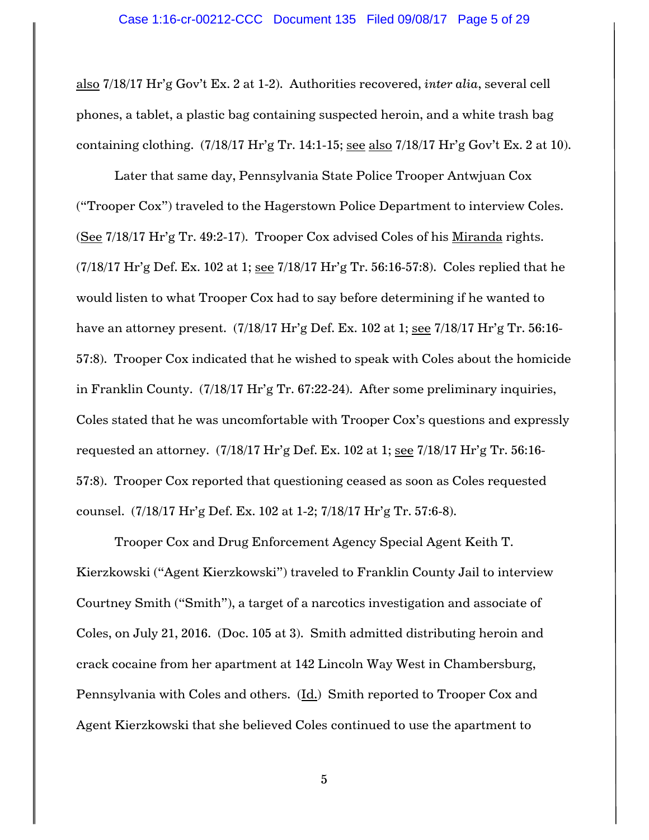also 7/18/17 Hr'g Gov't Ex. 2 at 1-2). Authorities recovered, *inter alia*, several cell phones, a tablet, a plastic bag containing suspected heroin, and a white trash bag containing clothing.  $(7/18/17 \text{ Hr/g Tr. } 14:1-15$ ; see also  $7/18/17 \text{ Hr/g Gov't Ex. } 2 \text{ at } 10)$ .

Later that same day, Pennsylvania State Police Trooper Antwjuan Cox ("Trooper Cox") traveled to the Hagerstown Police Department to interview Coles. (See 7/18/17 Hr'g Tr. 49:2-17). Trooper Cox advised Coles of his Miranda rights.  $(7/18/17 \text{ Hr/g Def.}$  Ex. 102 at 1; see  $7/18/17 \text{ Hr/g Tr.}$  56:16-57:8). Coles replied that he would listen to what Trooper Cox had to say before determining if he wanted to have an attorney present. (7/18/17 Hr'g Def. Ex. 102 at 1; see 7/18/17 Hr'g Tr. 56:16-57:8). Trooper Cox indicated that he wished to speak with Coles about the homicide in Franklin County. (7/18/17 Hr'g Tr. 67:22-24). After some preliminary inquiries, Coles stated that he was uncomfortable with Trooper Cox's questions and expressly requested an attorney. (7/18/17 Hr'g Def. Ex. 102 at 1; see 7/18/17 Hr'g Tr. 56:16- 57:8). Trooper Cox reported that questioning ceased as soon as Coles requested counsel. (7/18/17 Hr'g Def. Ex. 102 at 1-2; 7/18/17 Hr'g Tr. 57:6-8).

Trooper Cox and Drug Enforcement Agency Special Agent Keith T. Kierzkowski ("Agent Kierzkowski") traveled to Franklin County Jail to interview Courtney Smith ("Smith"), a target of a narcotics investigation and associate of Coles, on July 21, 2016. (Doc. 105 at 3). Smith admitted distributing heroin and crack cocaine from her apartment at 142 Lincoln Way West in Chambersburg, Pennsylvania with Coles and others. (Id.) Smith reported to Trooper Cox and Agent Kierzkowski that she believed Coles continued to use the apartment to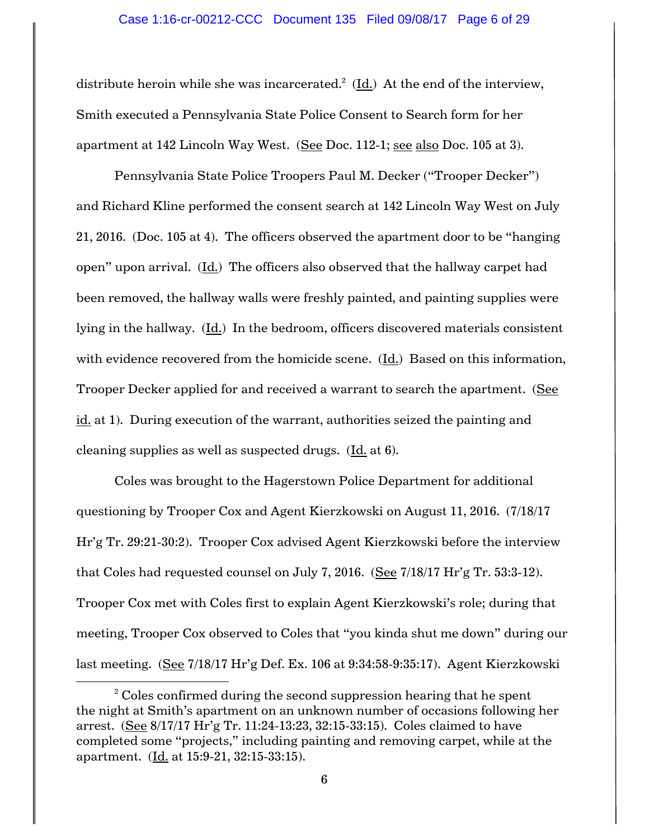distribute heroin while she was incarcerated.<sup>2</sup> (Id.) At the end of the interview, Smith executed a Pennsylvania State Police Consent to Search form for her apartment at 142 Lincoln Way West. (See Doc. 112-1; see also Doc. 105 at 3).

Pennsylvania State Police Troopers Paul M. Decker ("Trooper Decker") and Richard Kline performed the consent search at 142 Lincoln Way West on July 21, 2016. (Doc. 105 at 4). The officers observed the apartment door to be "hanging open" upon arrival. (Id.) The officers also observed that the hallway carpet had been removed, the hallway walls were freshly painted, and painting supplies were lying in the hallway.  $(\underline{Id})$  In the bedroom, officers discovered materials consistent with evidence recovered from the homicide scene. (Id.) Based on this information, Trooper Decker applied for and received a warrant to search the apartment. (See id. at 1). During execution of the warrant, authorities seized the painting and cleaning supplies as well as suspected drugs. (Id. at 6).

Coles was brought to the Hagerstown Police Department for additional questioning by Trooper Cox and Agent Kierzkowski on August 11, 2016. (7/18/17 Hr'g Tr. 29:21-30:2). Trooper Cox advised Agent Kierzkowski before the interview that Coles had requested counsel on July 7, 2016. (See 7/18/17 Hr'g Tr. 53:3-12). Trooper Cox met with Coles first to explain Agent Kierzkowski's role; during that meeting, Trooper Cox observed to Coles that "you kinda shut me down" during our last meeting. (See 7/18/17 Hr'g Def. Ex. 106 at 9:34:58-9:35:17). Agent Kierzkowski

 $\overline{\phantom{a}}$ 

 $2^2$  Coles confirmed during the second suppression hearing that he spent the night at Smith's apartment on an unknown number of occasions following her arrest. (See 8/17/17 Hr'g Tr. 11:24-13:23, 32:15-33:15). Coles claimed to have completed some "projects," including painting and removing carpet, while at the apartment. (Id. at 15:9-21, 32:15-33:15).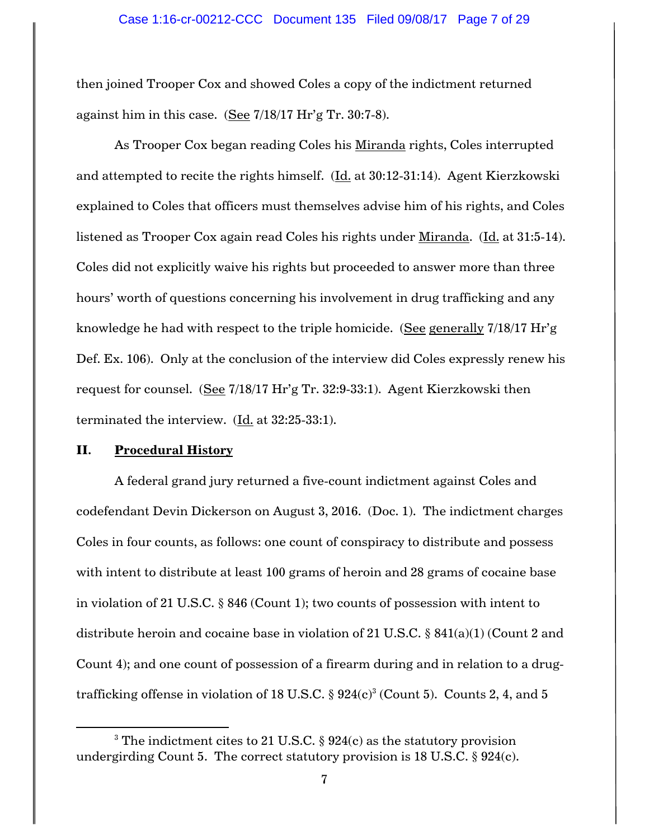then joined Trooper Cox and showed Coles a copy of the indictment returned against him in this case. (See 7/18/17 Hr'g Tr. 30:7-8).

As Trooper Cox began reading Coles his Miranda rights, Coles interrupted and attempted to recite the rights himself. (Id. at 30:12-31:14). Agent Kierzkowski explained to Coles that officers must themselves advise him of his rights, and Coles listened as Trooper Cox again read Coles his rights under Miranda. (Id. at 31:5-14). Coles did not explicitly waive his rights but proceeded to answer more than three hours' worth of questions concerning his involvement in drug trafficking and any knowledge he had with respect to the triple homicide. (See generally 7/18/17 Hr'g Def. Ex. 106). Only at the conclusion of the interview did Coles expressly renew his request for counsel. (See 7/18/17 Hr'g Tr. 32:9-33:1). Agent Kierzkowski then terminated the interview. (Id. at 32:25-33:1).

#### **II. Procedural History**

 $\overline{\phantom{a}}$ 

A federal grand jury returned a five-count indictment against Coles and codefendant Devin Dickerson on August 3, 2016. (Doc. 1). The indictment charges Coles in four counts, as follows: one count of conspiracy to distribute and possess with intent to distribute at least 100 grams of heroin and 28 grams of cocaine base in violation of 21 U.S.C. § 846 (Count 1); two counts of possession with intent to distribute heroin and cocaine base in violation of 21 U.S.C. § 841(a)(1) (Count 2 and Count 4); and one count of possession of a firearm during and in relation to a drugtrafficking offense in violation of 18 U.S.C.  $\S~924(c)^3$  (Count 5). Counts 2, 4, and 5

<sup>&</sup>lt;sup>3</sup> The indictment cites to 21 U.S.C.  $\S$  924(c) as the statutory provision undergirding Count 5. The correct statutory provision is 18 U.S.C.  $\S$  924(c).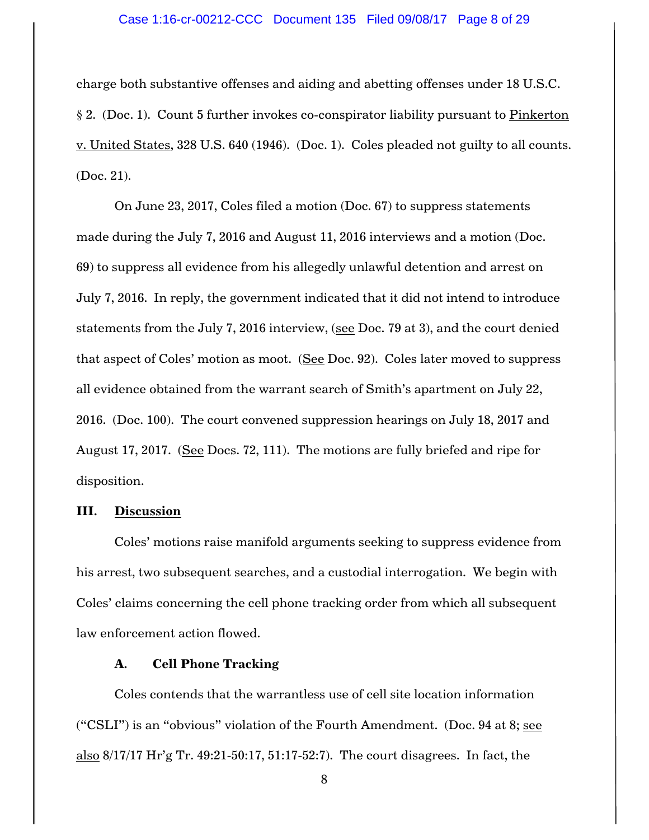#### Case 1:16-cr-00212-CCC Document 135 Filed 09/08/17 Page 8 of 29

charge both substantive offenses and aiding and abetting offenses under 18 U.S.C. § 2. (Doc. 1). Count 5 further invokes co-conspirator liability pursuant to Pinkerton v. United States, 328 U.S. 640 (1946). (Doc. 1). Coles pleaded not guilty to all counts. (Doc. 21).

On June 23, 2017, Coles filed a motion (Doc. 67) to suppress statements made during the July 7, 2016 and August 11, 2016 interviews and a motion (Doc. 69) to suppress all evidence from his allegedly unlawful detention and arrest on July 7, 2016. In reply, the government indicated that it did not intend to introduce statements from the July 7, 2016 interview, (see Doc. 79 at 3), and the court denied that aspect of Coles' motion as moot. (See Doc. 92). Coles later moved to suppress all evidence obtained from the warrant search of Smith's apartment on July 22, 2016. (Doc. 100). The court convened suppression hearings on July 18, 2017 and August 17, 2017. (See Docs. 72, 111). The motions are fully briefed and ripe for disposition.

#### **III. Discussion**

Coles' motions raise manifold arguments seeking to suppress evidence from his arrest, two subsequent searches, and a custodial interrogation. We begin with Coles' claims concerning the cell phone tracking order from which all subsequent law enforcement action flowed.

### **A. Cell Phone Tracking**

Coles contends that the warrantless use of cell site location information ("CSLI") is an "obvious" violation of the Fourth Amendment. (Doc. 94 at 8; see also 8/17/17 Hr'g Tr. 49:21-50:17, 51:17-52:7). The court disagrees. In fact, the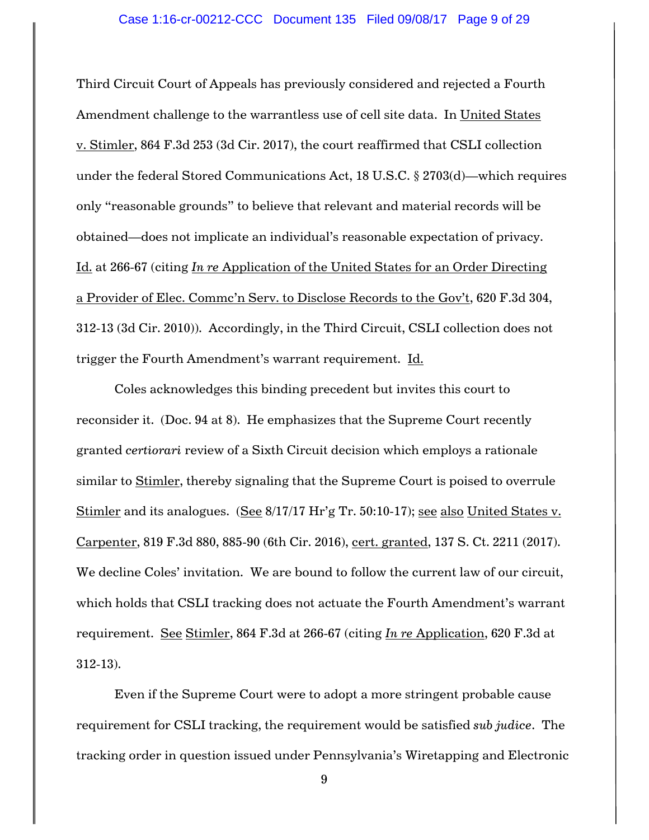Third Circuit Court of Appeals has previously considered and rejected a Fourth Amendment challenge to the warrantless use of cell site data. In United States v. Stimler, 864 F.3d 253 (3d Cir. 2017), the court reaffirmed that CSLI collection under the federal Stored Communications Act, 18 U.S.C. § 2703(d)—which requires only "reasonable grounds" to believe that relevant and material records will be obtained—does not implicate an individual's reasonable expectation of privacy. Id. at 266-67 (citing *In re* Application of the United States for an Order Directing a Provider of Elec. Commc'n Serv. to Disclose Records to the Gov't, 620 F.3d 304, 312-13 (3d Cir. 2010)). Accordingly, in the Third Circuit, CSLI collection does not trigger the Fourth Amendment's warrant requirement. Id.

Coles acknowledges this binding precedent but invites this court to reconsider it. (Doc. 94 at 8). He emphasizes that the Supreme Court recently granted *certiorari* review of a Sixth Circuit decision which employs a rationale similar to Stimler, thereby signaling that the Supreme Court is poised to overrule Stimler and its analogues. (See 8/17/17 Hr'g Tr. 50:10-17); see also United States v. Carpenter, 819 F.3d 880, 885-90 (6th Cir. 2016), cert. granted, 137 S. Ct. 2211 (2017). We decline Coles' invitation. We are bound to follow the current law of our circuit, which holds that CSLI tracking does not actuate the Fourth Amendment's warrant requirement. See Stimler, 864 F.3d at 266-67 (citing *In re* Application, 620 F.3d at 312-13).

Even if the Supreme Court were to adopt a more stringent probable cause requirement for CSLI tracking, the requirement would be satisfied *sub judice*. The tracking order in question issued under Pennsylvania's Wiretapping and Electronic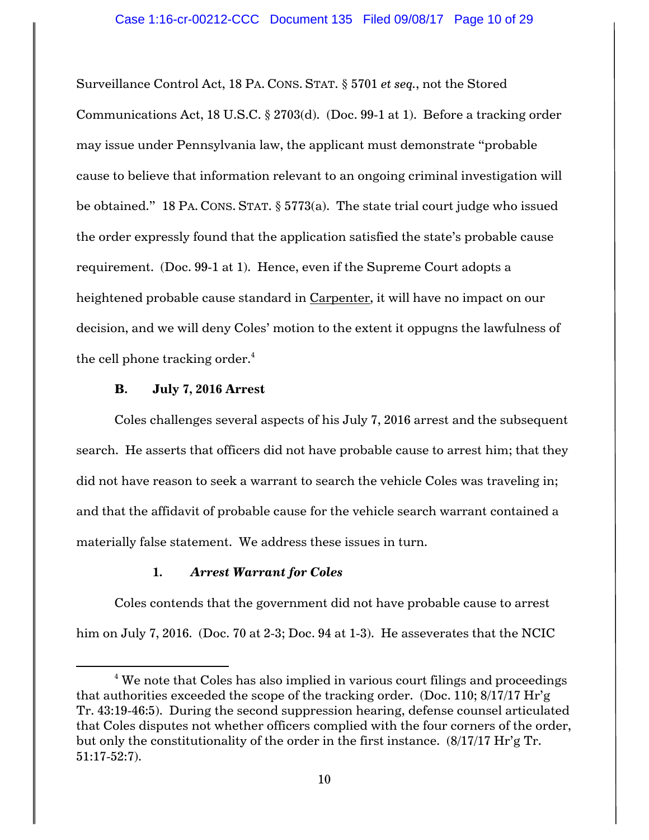Surveillance Control Act, 18 PA. CONS. STAT. § 5701 *et seq.*, not the Stored Communications Act, 18 U.S.C. § 2703(d). (Doc. 99-1 at 1). Before a tracking order may issue under Pennsylvania law, the applicant must demonstrate "probable cause to believe that information relevant to an ongoing criminal investigation will be obtained." 18 PA. CONS. STAT. § 5773(a). The state trial court judge who issued the order expressly found that the application satisfied the state's probable cause requirement. (Doc. 99-1 at 1). Hence, even if the Supreme Court adopts a heightened probable cause standard in Carpenter, it will have no impact on our decision, and we will deny Coles' motion to the extent it oppugns the lawfulness of the cell phone tracking order. $4$ 

### **B. July 7, 2016 Arrest**

 $\overline{a}$ 

Coles challenges several aspects of his July 7, 2016 arrest and the subsequent search. He asserts that officers did not have probable cause to arrest him; that they did not have reason to seek a warrant to search the vehicle Coles was traveling in; and that the affidavit of probable cause for the vehicle search warrant contained a materially false statement. We address these issues in turn.

# **1.** *Arrest Warrant for Coles*

Coles contends that the government did not have probable cause to arrest him on July 7, 2016. (Doc. 70 at 2-3; Doc. 94 at 1-3). He asseverates that the NCIC

 $4$  We note that Coles has also implied in various court filings and proceedings that authorities exceeded the scope of the tracking order. (Doc. 110; 8/17/17 Hr'g Tr. 43:19-46:5). During the second suppression hearing, defense counsel articulated that Coles disputes not whether officers complied with the four corners of the order, but only the constitutionality of the order in the first instance. (8/17/17 Hr'g Tr. 51:17-52:7).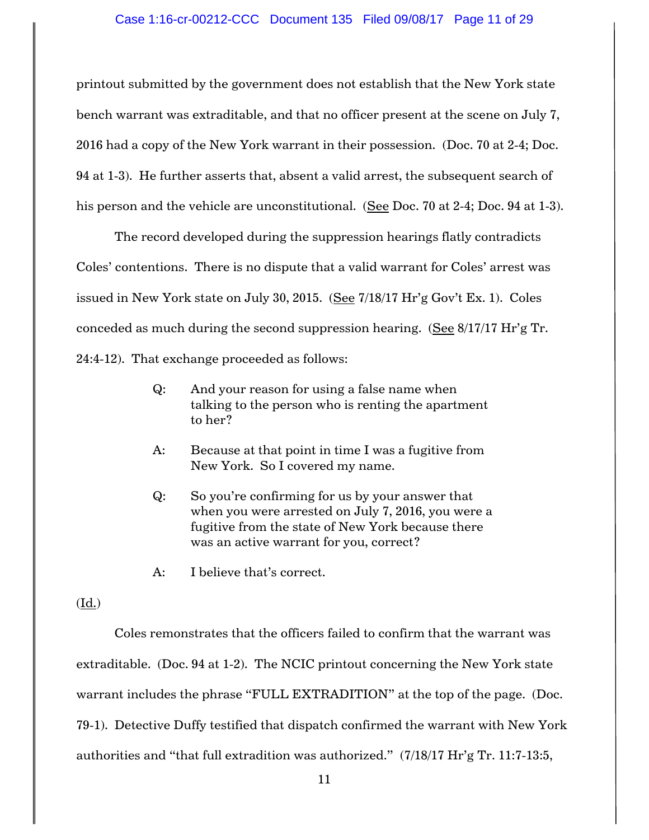printout submitted by the government does not establish that the New York state bench warrant was extraditable, and that no officer present at the scene on July 7, 2016 had a copy of the New York warrant in their possession. (Doc. 70 at 2-4; Doc. 94 at 1-3). He further asserts that, absent a valid arrest, the subsequent search of his person and the vehicle are unconstitutional. (See Doc. 70 at 2-4; Doc. 94 at 1-3).

The record developed during the suppression hearings flatly contradicts Coles' contentions. There is no dispute that a valid warrant for Coles' arrest was issued in New York state on July 30, 2015. (See  $7/18/17$  Hr'g Gov't Ex. 1). Coles conceded as much during the second suppression hearing. (See 8/17/17 Hr'g Tr. 24:4-12). That exchange proceeded as follows:

- Q: And your reason for using a false name when talking to the person who is renting the apartment to her?
- A: Because at that point in time I was a fugitive from New York. So I covered my name.
- Q: So you're confirming for us by your answer that when you were arrested on July 7, 2016, you were a fugitive from the state of New York because there was an active warrant for you, correct?
- A: I believe that's correct.

# (Id.)

Coles remonstrates that the officers failed to confirm that the warrant was extraditable. (Doc. 94 at 1-2). The NCIC printout concerning the New York state warrant includes the phrase "FULL EXTRADITION" at the top of the page. (Doc. 79-1). Detective Duffy testified that dispatch confirmed the warrant with New York authorities and "that full extradition was authorized." (7/18/17 Hr'g Tr. 11:7-13:5,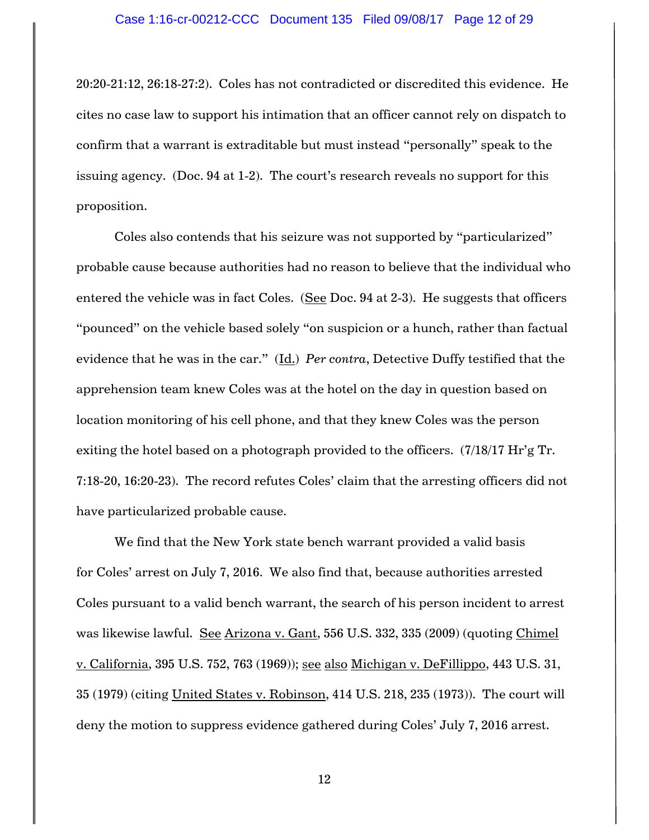20:20-21:12, 26:18-27:2). Coles has not contradicted or discredited this evidence. He cites no case law to support his intimation that an officer cannot rely on dispatch to confirm that a warrant is extraditable but must instead "personally" speak to the issuing agency. (Doc. 94 at 1-2). The court's research reveals no support for this proposition.

Coles also contends that his seizure was not supported by "particularized" probable cause because authorities had no reason to believe that the individual who entered the vehicle was in fact Coles. (See Doc. 94 at 2-3). He suggests that officers "pounced" on the vehicle based solely "on suspicion or a hunch, rather than factual evidence that he was in the car." (Id.) *Per contra*, Detective Duffy testified that the apprehension team knew Coles was at the hotel on the day in question based on location monitoring of his cell phone, and that they knew Coles was the person exiting the hotel based on a photograph provided to the officers. (7/18/17 Hr'g Tr. 7:18-20, 16:20-23). The record refutes Coles' claim that the arresting officers did not have particularized probable cause.

We find that the New York state bench warrant provided a valid basis for Coles' arrest on July 7, 2016. We also find that, because authorities arrested Coles pursuant to a valid bench warrant, the search of his person incident to arrest was likewise lawful. See Arizona v. Gant, 556 U.S. 332, 335 (2009) (quoting Chimel v. California, 395 U.S. 752, 763 (1969)); see also Michigan v. DeFillippo, 443 U.S. 31, 35 (1979) (citing United States v. Robinson, 414 U.S. 218, 235 (1973)). The court will deny the motion to suppress evidence gathered during Coles' July 7, 2016 arrest.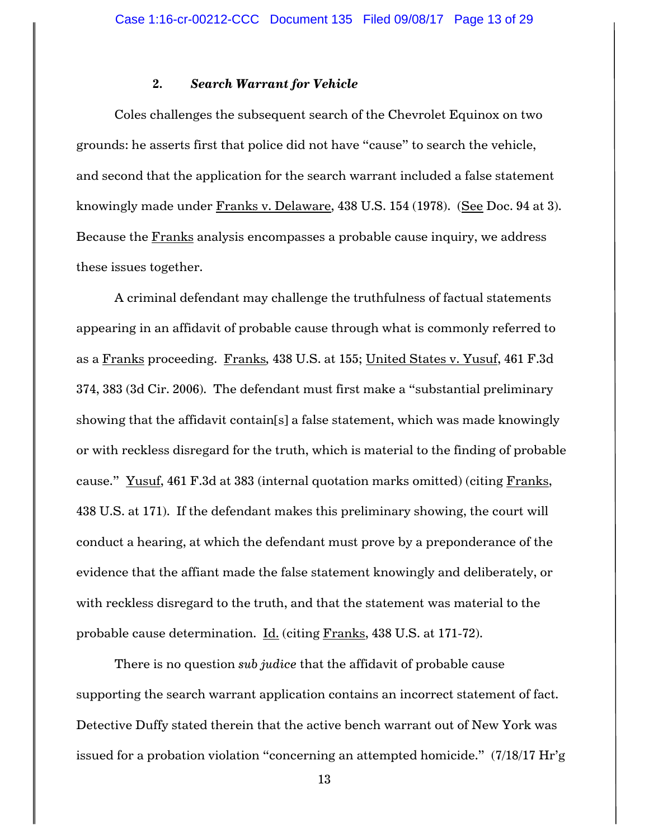### **2.** *Search Warrant for Vehicle*

Coles challenges the subsequent search of the Chevrolet Equinox on two grounds: he asserts first that police did not have "cause" to search the vehicle, and second that the application for the search warrant included a false statement knowingly made under Franks v. Delaware, 438 U.S. 154 (1978). (See Doc. 94 at 3). Because the Franks analysis encompasses a probable cause inquiry, we address these issues together.

A criminal defendant may challenge the truthfulness of factual statements appearing in an affidavit of probable cause through what is commonly referred to as a Franks proceeding. Franks*,* 438 U.S. at 155; United States v. Yusuf, 461 F.3d 374, 383 (3d Cir. 2006). The defendant must first make a "substantial preliminary showing that the affidavit contain[s] a false statement, which was made knowingly or with reckless disregard for the truth, which is material to the finding of probable cause." Yusuf, 461 F.3d at 383 (internal quotation marks omitted) (citing  $\frac{Franks}{}$ , 438 U.S. at 171). If the defendant makes this preliminary showing, the court will conduct a hearing, at which the defendant must prove by a preponderance of the evidence that the affiant made the false statement knowingly and deliberately, or with reckless disregard to the truth, and that the statement was material to the probable cause determination. Id. (citing Franks, 438 U.S. at 171-72).

There is no question *sub judice* that the affidavit of probable cause supporting the search warrant application contains an incorrect statement of fact. Detective Duffy stated therein that the active bench warrant out of New York was issued for a probation violation "concerning an attempted homicide." (7/18/17 Hr'g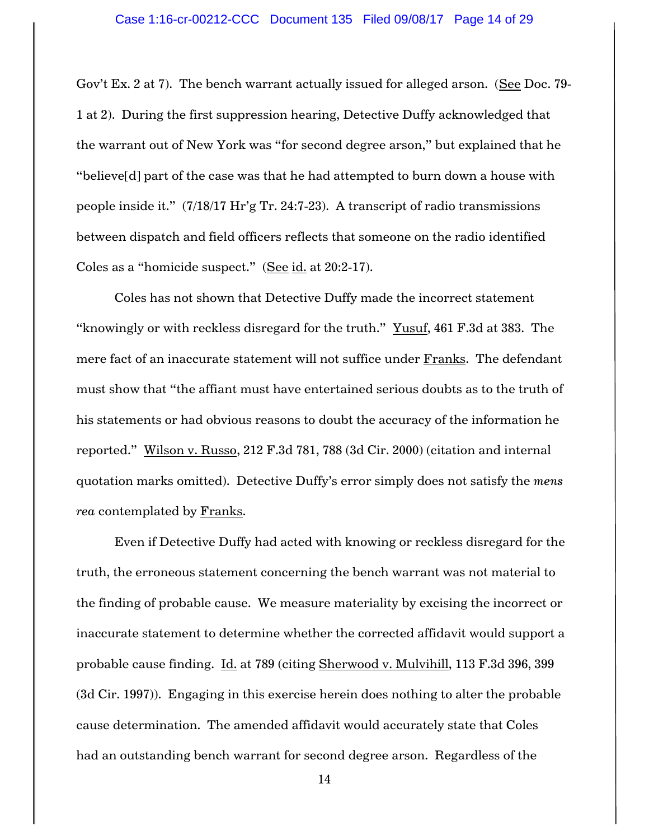Gov't Ex. 2 at 7). The bench warrant actually issued for alleged arson. (See Doc. 79-1 at 2). During the first suppression hearing, Detective Duffy acknowledged that the warrant out of New York was "for second degree arson," but explained that he "believe[d] part of the case was that he had attempted to burn down a house with people inside it." (7/18/17 Hr'g Tr. 24:7-23). A transcript of radio transmissions between dispatch and field officers reflects that someone on the radio identified Coles as a "homicide suspect." (See id. at 20:2-17).

Coles has not shown that Detective Duffy made the incorrect statement "knowingly or with reckless disregard for the truth." Yusuf, 461 F.3d at 383. The mere fact of an inaccurate statement will not suffice under Franks. The defendant must show that "the affiant must have entertained serious doubts as to the truth of his statements or had obvious reasons to doubt the accuracy of the information he reported." Wilson v. Russo, 212 F.3d 781, 788 (3d Cir. 2000) (citation and internal quotation marks omitted). Detective Duffy's error simply does not satisfy the *mens rea* contemplated by Franks.

Even if Detective Duffy had acted with knowing or reckless disregard for the truth, the erroneous statement concerning the bench warrant was not material to the finding of probable cause. We measure materiality by excising the incorrect or inaccurate statement to determine whether the corrected affidavit would support a probable cause finding. Id. at 789 (citing Sherwood v. Mulvihill, 113 F.3d 396, 399 (3d Cir. 1997)). Engaging in this exercise herein does nothing to alter the probable cause determination. The amended affidavit would accurately state that Coles had an outstanding bench warrant for second degree arson. Regardless of the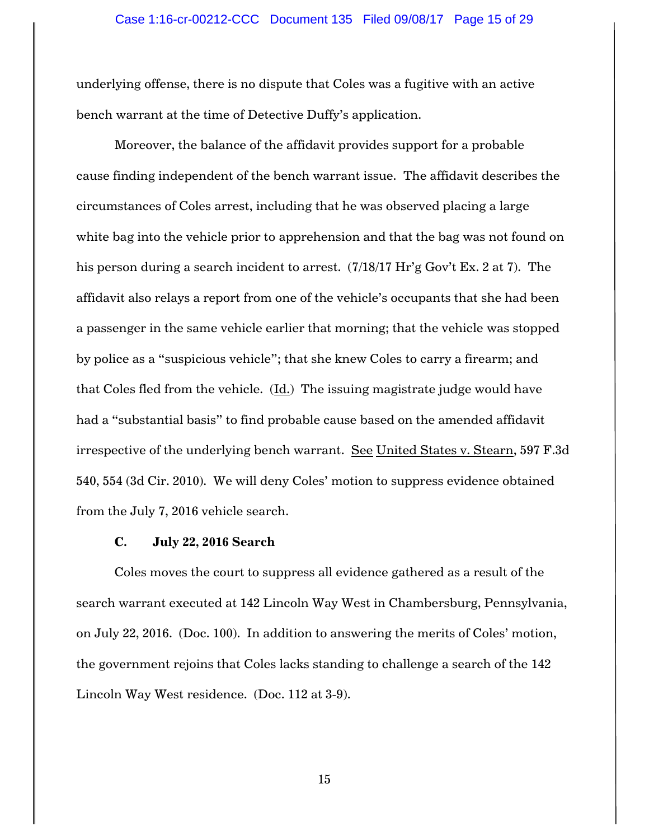underlying offense, there is no dispute that Coles was a fugitive with an active bench warrant at the time of Detective Duffy's application.

Moreover, the balance of the affidavit provides support for a probable cause finding independent of the bench warrant issue. The affidavit describes the circumstances of Coles arrest, including that he was observed placing a large white bag into the vehicle prior to apprehension and that the bag was not found on his person during a search incident to arrest. (7/18/17 Hr'g Gov't Ex. 2 at 7). The affidavit also relays a report from one of the vehicle's occupants that she had been a passenger in the same vehicle earlier that morning; that the vehicle was stopped by police as a "suspicious vehicle"; that she knew Coles to carry a firearm; and that Coles fled from the vehicle.  $(\underline{Id.})$  The issuing magistrate judge would have had a "substantial basis" to find probable cause based on the amended affidavit irrespective of the underlying bench warrant. See United States v. Stearn, 597 F.3d 540, 554 (3d Cir. 2010). We will deny Coles' motion to suppress evidence obtained from the July 7, 2016 vehicle search.

# **C. July 22, 2016 Search**

Coles moves the court to suppress all evidence gathered as a result of the search warrant executed at 142 Lincoln Way West in Chambersburg, Pennsylvania, on July 22, 2016. (Doc. 100). In addition to answering the merits of Coles' motion, the government rejoins that Coles lacks standing to challenge a search of the 142 Lincoln Way West residence. (Doc. 112 at 3-9).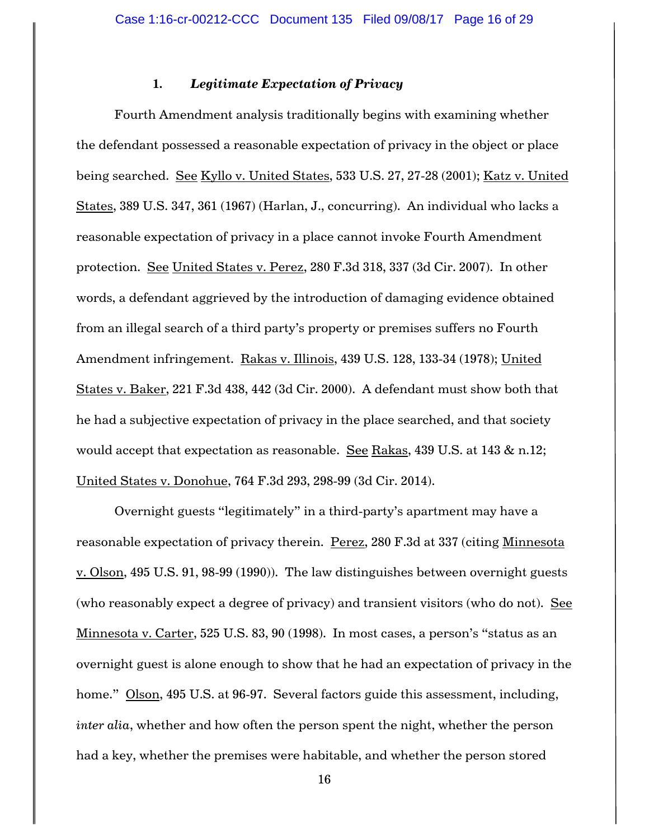### **1.** *Legitimate Expectation of Privacy*

Fourth Amendment analysis traditionally begins with examining whether the defendant possessed a reasonable expectation of privacy in the object or place being searched. See Kyllo v. United States, 533 U.S. 27, 27-28 (2001); Katz v. United States, 389 U.S. 347, 361 (1967) (Harlan, J., concurring). An individual who lacks a reasonable expectation of privacy in a place cannot invoke Fourth Amendment protection. See United States v. Perez, 280 F.3d 318, 337 (3d Cir. 2007). In other words, a defendant aggrieved by the introduction of damaging evidence obtained from an illegal search of a third party's property or premises suffers no Fourth Amendment infringement. Rakas v. Illinois, 439 U.S. 128, 133-34 (1978); United States v. Baker, 221 F.3d 438, 442 (3d Cir. 2000). A defendant must show both that he had a subjective expectation of privacy in the place searched, and that society would accept that expectation as reasonable. See Rakas, 439 U.S. at 143 & n.12; United States v. Donohue, 764 F.3d 293, 298-99 (3d Cir. 2014).

Overnight guests "legitimately" in a third-party's apartment may have a reasonable expectation of privacy therein. Perez, 280 F.3d at 337 (citing Minnesota v. Olson, 495 U.S. 91, 98-99 (1990)). The law distinguishes between overnight guests (who reasonably expect a degree of privacy) and transient visitors (who do not). See Minnesota v. Carter, 525 U.S. 83, 90 (1998). In most cases, a person's "status as an overnight guest is alone enough to show that he had an expectation of privacy in the home." Olson, 495 U.S. at 96-97. Several factors guide this assessment, including, *inter alia*, whether and how often the person spent the night, whether the person had a key, whether the premises were habitable, and whether the person stored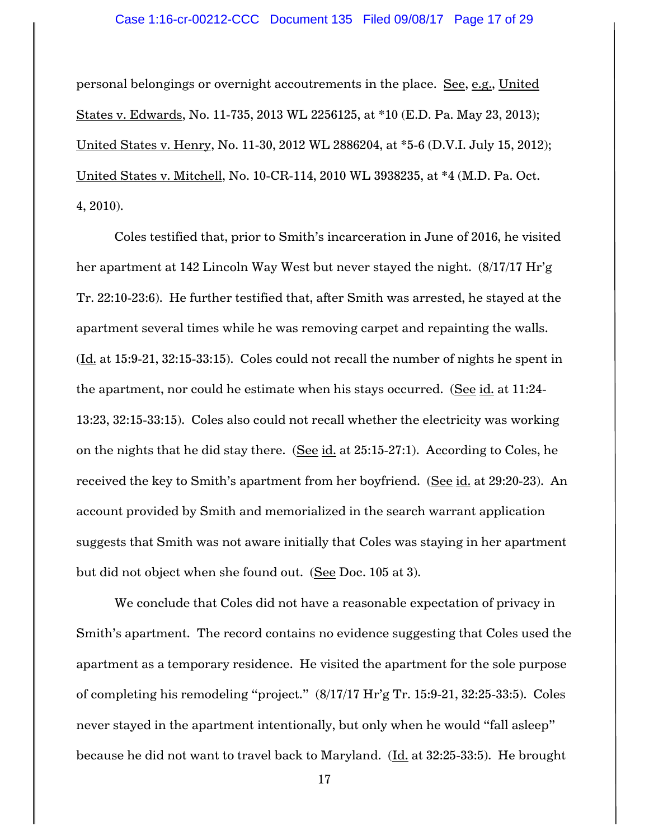#### Case 1:16-cr-00212-CCC Document 135 Filed 09/08/17 Page 17 of 29

personal belongings or overnight accoutrements in the place. See, e.g., United States v. Edwards, No. 11-735, 2013 WL 2256125, at \*10 (E.D. Pa. May 23, 2013); United States v. Henry, No. 11-30, 2012 WL 2886204, at \*5-6 (D.V.I. July 15, 2012); United States v. Mitchell, No. 10-CR-114, 2010 WL 3938235, at \*4 (M.D. Pa. Oct. 4, 2010).

Coles testified that, prior to Smith's incarceration in June of 2016, he visited her apartment at 142 Lincoln Way West but never stayed the night. (8/17/17 Hr'g Tr. 22:10-23:6). He further testified that, after Smith was arrested, he stayed at the apartment several times while he was removing carpet and repainting the walls. (Id. at 15:9-21, 32:15-33:15). Coles could not recall the number of nights he spent in the apartment, nor could he estimate when his stays occurred. (See id. at 11:24-13:23, 32:15-33:15). Coles also could not recall whether the electricity was working on the nights that he did stay there. (See id. at 25:15-27:1). According to Coles, he received the key to Smith's apartment from her boyfriend. (See id. at 29:20-23). An account provided by Smith and memorialized in the search warrant application suggests that Smith was not aware initially that Coles was staying in her apartment but did not object when she found out. (See Doc. 105 at 3).

We conclude that Coles did not have a reasonable expectation of privacy in Smith's apartment. The record contains no evidence suggesting that Coles used the apartment as a temporary residence. He visited the apartment for the sole purpose of completing his remodeling "project." (8/17/17 Hr'g Tr. 15:9-21, 32:25-33:5). Coles never stayed in the apartment intentionally, but only when he would "fall asleep" because he did not want to travel back to Maryland. (Id. at 32:25-33:5). He brought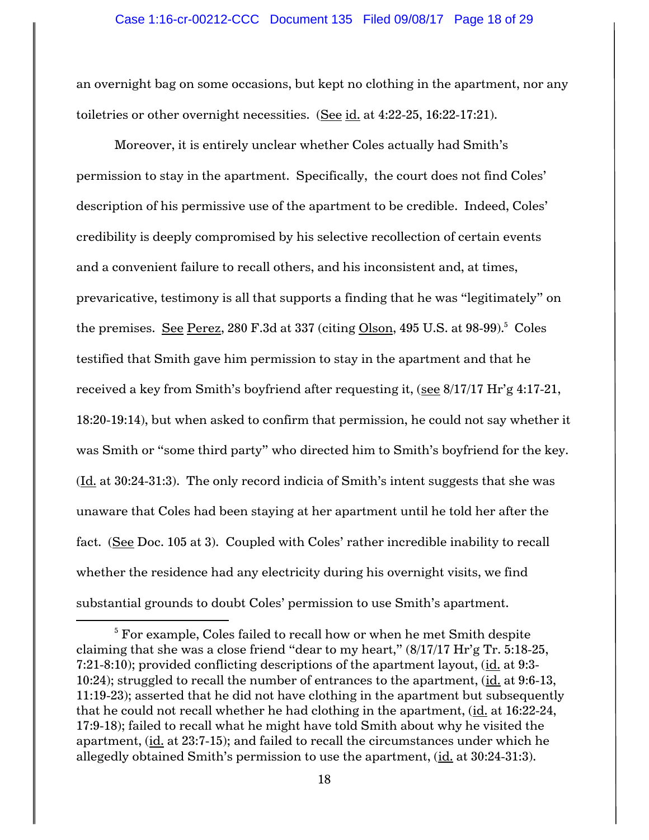an overnight bag on some occasions, but kept no clothing in the apartment, nor any toiletries or other overnight necessities. (See id. at 4:22-25, 16:22-17:21).

Moreover, it is entirely unclear whether Coles actually had Smith's permission to stay in the apartment. Specifically, the court does not find Coles' description of his permissive use of the apartment to be credible. Indeed, Coles' credibility is deeply compromised by his selective recollection of certain events and a convenient failure to recall others, and his inconsistent and, at times, prevaricative, testimony is all that supports a finding that he was "legitimately" on the premises. See Perez, 280 F.3d at 337 (citing <u>Olson</u>, 495 U.S. at 98-99).<sup>5</sup> Coles testified that Smith gave him permission to stay in the apartment and that he received a key from Smith's boyfriend after requesting it, (see 8/17/17 Hr'g 4:17-21, 18:20-19:14), but when asked to confirm that permission, he could not say whether it was Smith or "some third party" who directed him to Smith's boyfriend for the key. (Id. at 30:24-31:3). The only record indicia of Smith's intent suggests that she was unaware that Coles had been staying at her apartment until he told her after the fact. (See Doc. 105 at 3). Coupled with Coles' rather incredible inability to recall whether the residence had any electricity during his overnight visits, we find substantial grounds to doubt Coles' permission to use Smith's apartment.

 $\overline{\phantom{a}}$ 

<sup>&</sup>lt;sup>5</sup> For example, Coles failed to recall how or when he met Smith despite claiming that she was a close friend "dear to my heart," (8/17/17 Hr'g Tr. 5:18-25, 7:21-8:10); provided conflicting descriptions of the apartment layout, (id. at 9:3-10:24); struggled to recall the number of entrances to the apartment, (id. at 9:6-13, 11:19-23); asserted that he did not have clothing in the apartment but subsequently that he could not recall whether he had clothing in the apartment, (id. at 16:22-24, 17:9-18); failed to recall what he might have told Smith about why he visited the apartment, (id. at 23:7-15); and failed to recall the circumstances under which he allegedly obtained Smith's permission to use the apartment, (id. at 30:24-31:3).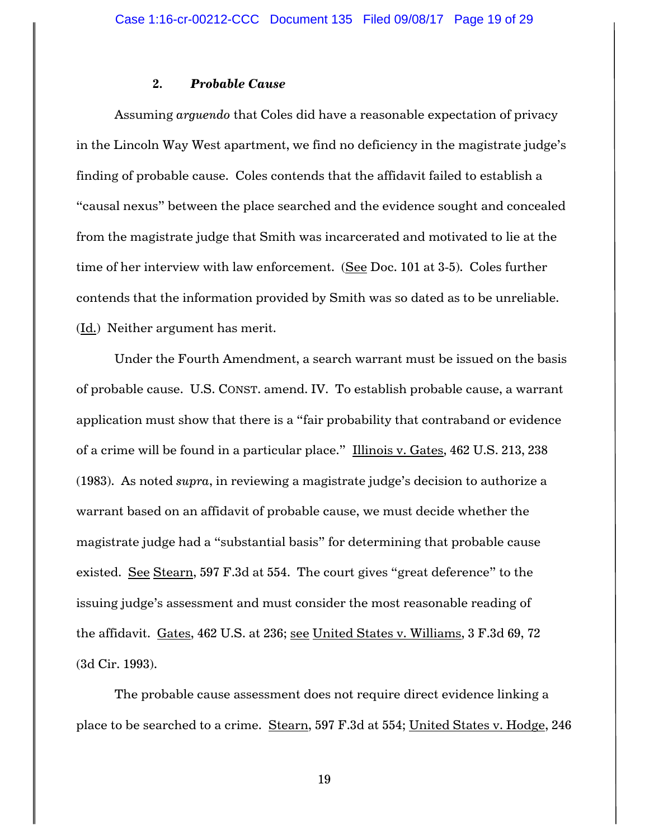### **2.** *Probable Cause*

Assuming *arguendo* that Coles did have a reasonable expectation of privacy in the Lincoln Way West apartment, we find no deficiency in the magistrate judge's finding of probable cause. Coles contends that the affidavit failed to establish a "causal nexus" between the place searched and the evidence sought and concealed from the magistrate judge that Smith was incarcerated and motivated to lie at the time of her interview with law enforcement. (See Doc. 101 at 3-5). Coles further contends that the information provided by Smith was so dated as to be unreliable. (Id.) Neither argument has merit.

Under the Fourth Amendment, a search warrant must be issued on the basis of probable cause. U.S. CONST. amend. IV. To establish probable cause, a warrant application must show that there is a "fair probability that contraband or evidence of a crime will be found in a particular place." Illinois v. Gates, 462 U.S. 213, 238 (1983). As noted *supra*, in reviewing a magistrate judge's decision to authorize a warrant based on an affidavit of probable cause, we must decide whether the magistrate judge had a "substantial basis" for determining that probable cause existed. See Stearn, 597 F.3d at 554. The court gives "great deference" to the issuing judge's assessment and must consider the most reasonable reading of the affidavit. Gates, 462 U.S. at 236; see United States v. Williams, 3 F.3d 69, 72 (3d Cir. 1993).

The probable cause assessment does not require direct evidence linking a place to be searched to a crime. Stearn, 597 F.3d at 554; United States v. Hodge, 246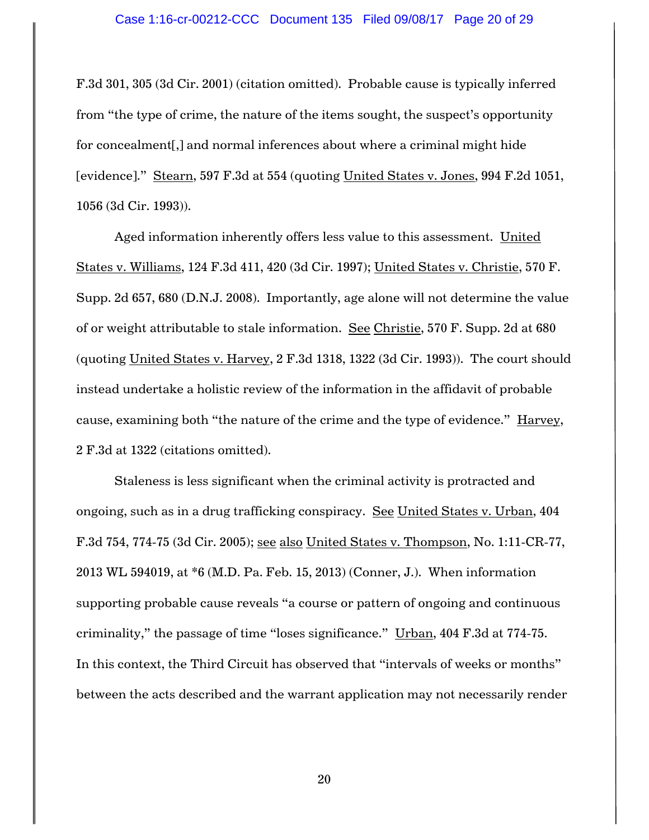F.3d 301, 305 (3d Cir. 2001) (citation omitted). Probable cause is typically inferred from "the type of crime, the nature of the items sought, the suspect's opportunity for concealment[,] and normal inferences about where a criminal might hide [evidence]." Stearn, 597 F.3d at 554 (quoting United States v. Jones, 994 F.2d 1051, 1056 (3d Cir. 1993)).

Aged information inherently offers less value to this assessment. United States v. Williams, 124 F.3d 411, 420 (3d Cir. 1997); United States v. Christie, 570 F. Supp. 2d 657, 680 (D.N.J. 2008). Importantly, age alone will not determine the value of or weight attributable to stale information. See Christie, 570 F. Supp. 2d at 680 (quoting United States v. Harvey, 2 F.3d 1318, 1322 (3d Cir. 1993)). The court should instead undertake a holistic review of the information in the affidavit of probable cause, examining both "the nature of the crime and the type of evidence." Harvey, 2 F.3d at 1322 (citations omitted).

Staleness is less significant when the criminal activity is protracted and ongoing, such as in a drug trafficking conspiracy. See United States v. Urban, 404 F.3d 754, 774-75 (3d Cir. 2005); see also United States v. Thompson, No. 1:11-CR-77, 2013 WL 594019, at \*6 (M.D. Pa. Feb. 15, 2013) (Conner, J.). When information supporting probable cause reveals "a course or pattern of ongoing and continuous criminality," the passage of time "loses significance." Urban, 404 F.3d at 774-75. In this context, the Third Circuit has observed that "intervals of weeks or months" between the acts described and the warrant application may not necessarily render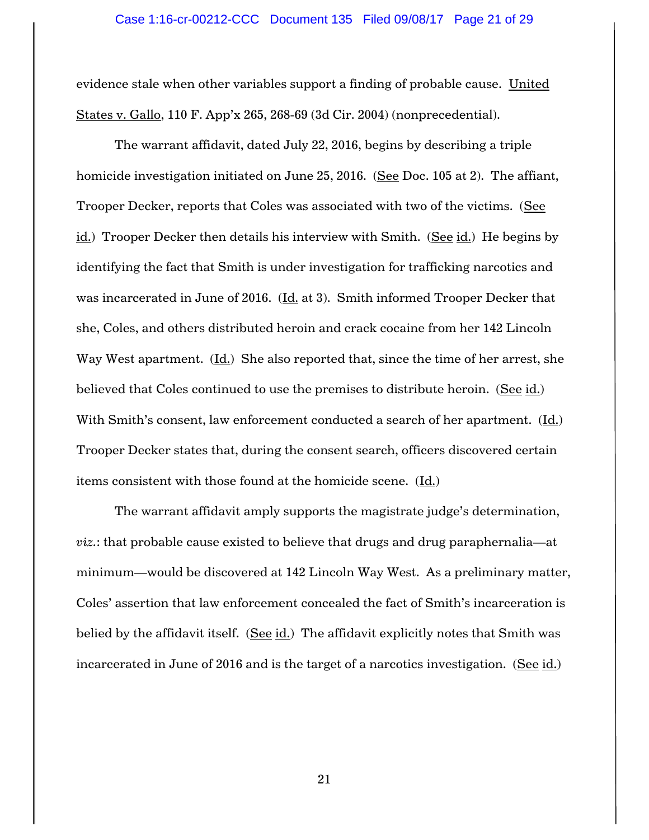evidence stale when other variables support a finding of probable cause. United States v. Gallo, 110 F. App'x 265, 268-69 (3d Cir. 2004) (nonprecedential).

The warrant affidavit, dated July 22, 2016, begins by describing a triple homicide investigation initiated on June 25, 2016. (See Doc. 105 at 2). The affiant, Trooper Decker, reports that Coles was associated with two of the victims. (See id.) Trooper Decker then details his interview with Smith. (See id.) He begins by identifying the fact that Smith is under investigation for trafficking narcotics and was incarcerated in June of 2016.  $(\underline{Id.}$  at 3). Smith informed Trooper Decker that she, Coles, and others distributed heroin and crack cocaine from her 142 Lincoln Way West apartment. (Id.) She also reported that, since the time of her arrest, she believed that Coles continued to use the premises to distribute heroin. (See id.) With Smith's consent, law enforcement conducted a search of her apartment. (Id.) Trooper Decker states that, during the consent search, officers discovered certain items consistent with those found at the homicide scene. (Id.)

The warrant affidavit amply supports the magistrate judge's determination, *viz.*: that probable cause existed to believe that drugs and drug paraphernalia—at minimum—would be discovered at 142 Lincoln Way West. As a preliminary matter, Coles' assertion that law enforcement concealed the fact of Smith's incarceration is belied by the affidavit itself. (See id.) The affidavit explicitly notes that Smith was incarcerated in June of 2016 and is the target of a narcotics investigation. (See  $id.$ )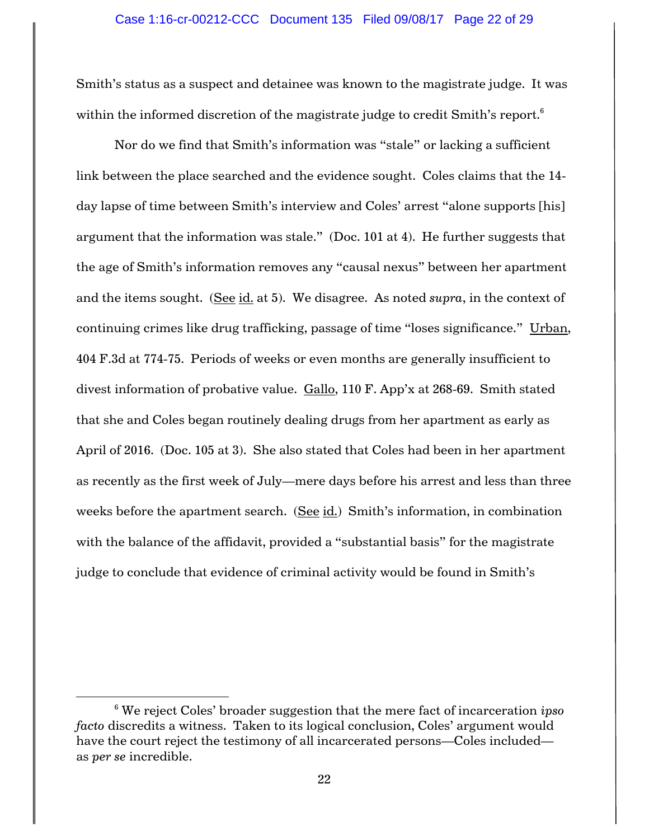Smith's status as a suspect and detainee was known to the magistrate judge. It was within the informed discretion of the magistrate judge to credit Smith's report.<sup>6</sup>

Nor do we find that Smith's information was "stale" or lacking a sufficient link between the place searched and the evidence sought. Coles claims that the 14 day lapse of time between Smith's interview and Coles' arrest "alone supports [his] argument that the information was stale." (Doc. 101 at 4). He further suggests that the age of Smith's information removes any "causal nexus" between her apartment and the items sought. (See id. at 5). We disagree. As noted *supra*, in the context of continuing crimes like drug trafficking, passage of time "loses significance." Urban, 404 F.3d at 774-75. Periods of weeks or even months are generally insufficient to divest information of probative value. Gallo, 110 F. App'x at 268-69. Smith stated that she and Coles began routinely dealing drugs from her apartment as early as April of 2016. (Doc. 105 at 3). She also stated that Coles had been in her apartment as recently as the first week of July—mere days before his arrest and less than three weeks before the apartment search. (See id.) Smith's information, in combination with the balance of the affidavit, provided a "substantial basis" for the magistrate judge to conclude that evidence of criminal activity would be found in Smith's

 $\overline{a}$ 

<sup>6</sup> We reject Coles' broader suggestion that the mere fact of incarceration *ipso facto* discredits a witness. Taken to its logical conclusion, Coles' argument would have the court reject the testimony of all incarcerated persons—Coles included as *per se* incredible.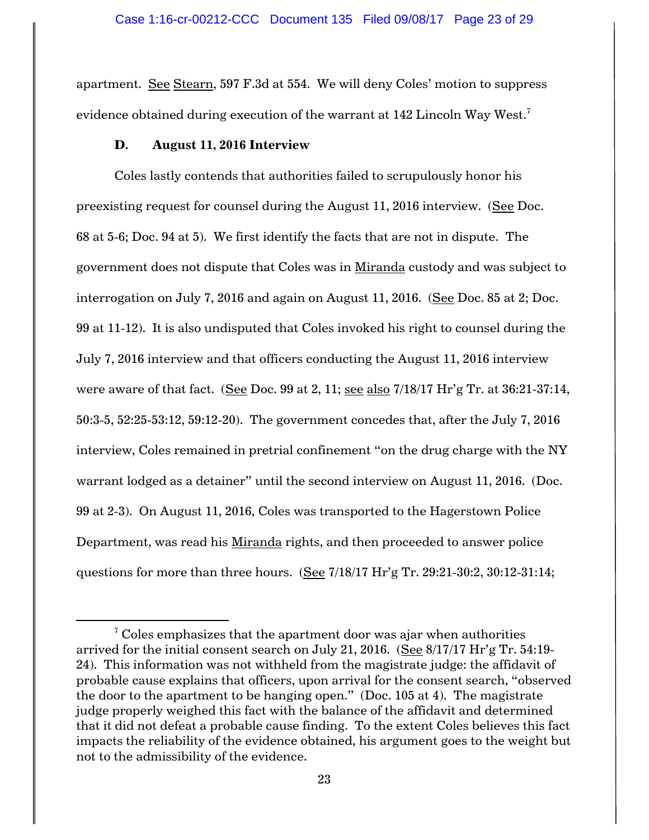apartment. See Stearn, 597 F.3d at 554. We will deny Coles' motion to suppress evidence obtained during execution of the warrant at 142 Lincoln Way West.<sup>7</sup>

### **D. August 11, 2016 Interview**

 $\overline{\phantom{a}}$ 

Coles lastly contends that authorities failed to scrupulously honor his preexisting request for counsel during the August 11, 2016 interview. (See Doc. 68 at 5-6; Doc. 94 at 5). We first identify the facts that are not in dispute. The government does not dispute that Coles was in Miranda custody and was subject to interrogation on July 7, 2016 and again on August 11, 2016. (See Doc. 85 at 2; Doc. 99 at 11-12). It is also undisputed that Coles invoked his right to counsel during the July 7, 2016 interview and that officers conducting the August 11, 2016 interview were aware of that fact. (See Doc. 99 at 2, 11; see also 7/18/17 Hr'g Tr. at 36:21-37:14, 50:3-5, 52:25-53:12, 59:12-20). The government concedes that, after the July 7, 2016 interview, Coles remained in pretrial confinement "on the drug charge with the NY warrant lodged as a detainer" until the second interview on August 11, 2016. (Doc. 99 at 2-3). On August 11, 2016, Coles was transported to the Hagerstown Police Department, was read his Miranda rights, and then proceeded to answer police questions for more than three hours. (See 7/18/17 Hr'g Tr. 29:21-30:2, 30:12-31:14;

 $7$  Coles emphasizes that the apartment door was ajar when authorities arrived for the initial consent search on July 21, 2016. (See 8/17/17 Hr'g Tr. 54:19- 24). This information was not withheld from the magistrate judge: the affidavit of probable cause explains that officers, upon arrival for the consent search, "observed the door to the apartment to be hanging open." (Doc. 105 at 4). The magistrate judge properly weighed this fact with the balance of the affidavit and determined that it did not defeat a probable cause finding. To the extent Coles believes this fact impacts the reliability of the evidence obtained, his argument goes to the weight but not to the admissibility of the evidence.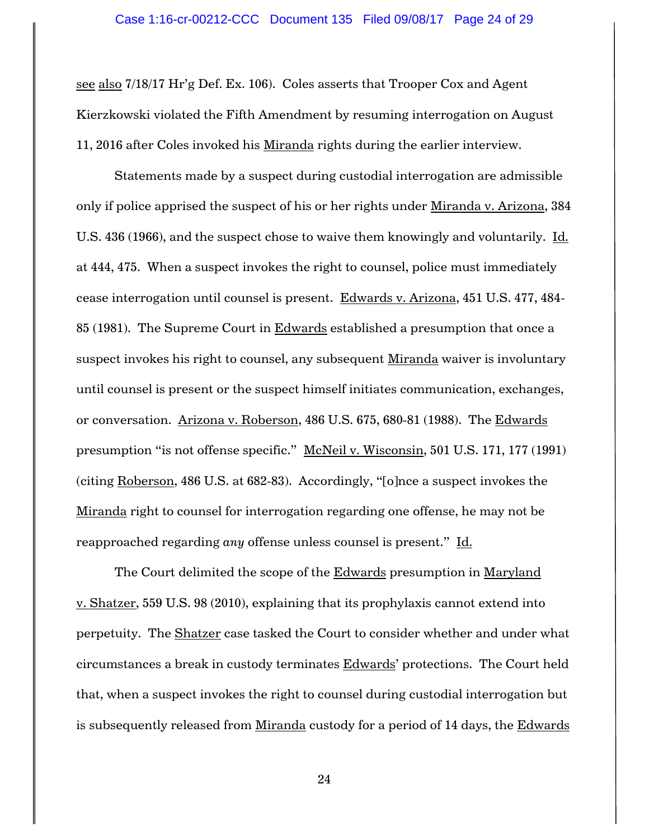see also 7/18/17 Hr'g Def. Ex. 106). Coles asserts that Trooper Cox and Agent Kierzkowski violated the Fifth Amendment by resuming interrogation on August 11, 2016 after Coles invoked his Miranda rights during the earlier interview.

Statements made by a suspect during custodial interrogation are admissible only if police apprised the suspect of his or her rights under Miranda v. Arizona, 384 U.S. 436 (1966), and the suspect chose to waive them knowingly and voluntarily. Id. at 444, 475. When a suspect invokes the right to counsel, police must immediately cease interrogation until counsel is present. Edwards v. Arizona, 451 U.S. 477, 484- 85 (1981). The Supreme Court in  $Edwards$  established a presumption that once a suspect invokes his right to counsel, any subsequent Miranda waiver is involuntary until counsel is present or the suspect himself initiates communication, exchanges, or conversation. Arizona v. Roberson, 486 U.S. 675, 680-81 (1988). The Edwards presumption "is not offense specific." McNeil v. Wisconsin, 501 U.S. 171, 177 (1991) (citing Roberson, 486 U.S. at 682-83). Accordingly, "[o]nce a suspect invokes the Miranda right to counsel for interrogation regarding one offense, he may not be reapproached regarding *any* offense unless counsel is present." Id.

The Court delimited the scope of the Edwards presumption in Maryland v. Shatzer, 559 U.S. 98 (2010), explaining that its prophylaxis cannot extend into perpetuity. The Shatzer case tasked the Court to consider whether and under what circumstances a break in custody terminates Edwards' protections. The Court held that, when a suspect invokes the right to counsel during custodial interrogation but is subsequently released from Miranda custody for a period of 14 days, the Edwards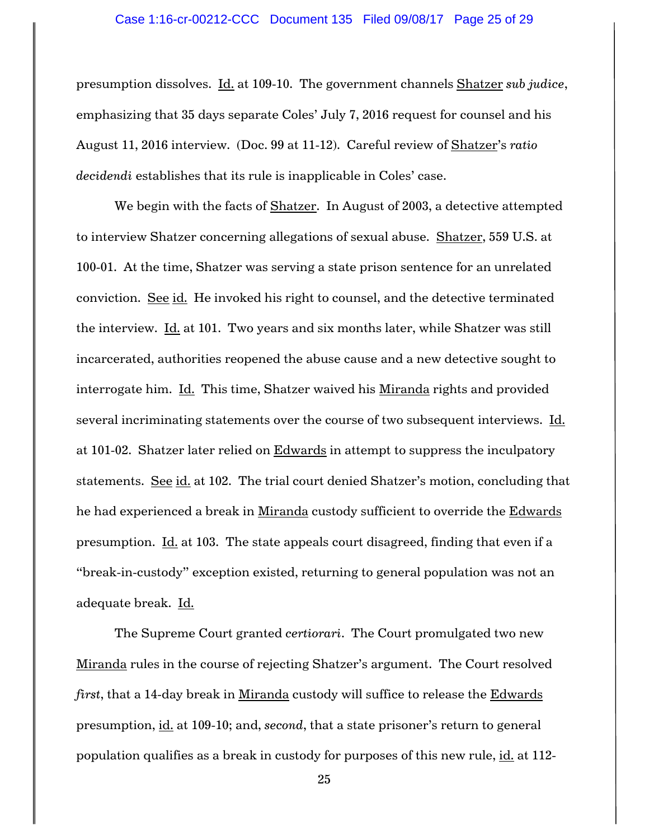presumption dissolves. Id. at 109-10. The government channels Shatzer *sub judice*, emphasizing that 35 days separate Coles' July 7, 2016 request for counsel and his August 11, 2016 interview. (Doc. 99 at 11-12). Careful review of Shatzer's *ratio decidendi* establishes that its rule is inapplicable in Coles' case.

We begin with the facts of Shatzer. In August of 2003, a detective attempted to interview Shatzer concerning allegations of sexual abuse. Shatzer, 559 U.S. at 100-01. At the time, Shatzer was serving a state prison sentence for an unrelated conviction. See id. He invoked his right to counsel, and the detective terminated the interview. Id. at 101. Two years and six months later, while Shatzer was still incarcerated, authorities reopened the abuse cause and a new detective sought to interrogate him. Id. This time, Shatzer waived his Miranda rights and provided several incriminating statements over the course of two subsequent interviews. Id. at 101-02. Shatzer later relied on Edwards in attempt to suppress the inculpatory statements. See id. at 102. The trial court denied Shatzer's motion, concluding that he had experienced a break in Miranda custody sufficient to override the Edwards presumption. Id. at 103. The state appeals court disagreed, finding that even if a "break-in-custody" exception existed, returning to general population was not an adequate break. Id.

The Supreme Court granted *certiorari*. The Court promulgated two new Miranda rules in the course of rejecting Shatzer's argument. The Court resolved *first*, that a 14-day break in Miranda custody will suffice to release the Edwards presumption, id. at 109-10; and, *second*, that a state prisoner's return to general population qualifies as a break in custody for purposes of this new rule, id. at 112-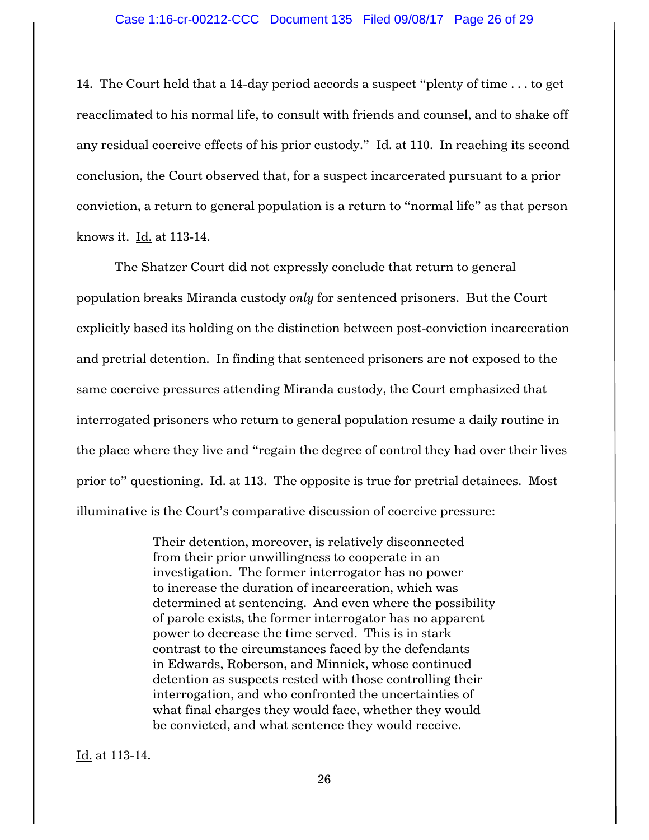14. The Court held that a 14-day period accords a suspect "plenty of time . . . to get reacclimated to his normal life, to consult with friends and counsel, and to shake off any residual coercive effects of his prior custody." Id. at 110. In reaching its second conclusion, the Court observed that, for a suspect incarcerated pursuant to a prior conviction, a return to general population is a return to "normal life" as that person knows it. Id. at 113-14.

The Shatzer Court did not expressly conclude that return to general population breaks Miranda custody *only* for sentenced prisoners. But the Court explicitly based its holding on the distinction between post-conviction incarceration and pretrial detention. In finding that sentenced prisoners are not exposed to the same coercive pressures attending Miranda custody, the Court emphasized that interrogated prisoners who return to general population resume a daily routine in the place where they live and "regain the degree of control they had over their lives prior to" questioning. Id. at 113. The opposite is true for pretrial detainees. Most illuminative is the Court's comparative discussion of coercive pressure:

> Their detention, moreover, is relatively disconnected from their prior unwillingness to cooperate in an investigation. The former interrogator has no power to increase the duration of incarceration, which was determined at sentencing. And even where the possibility of parole exists, the former interrogator has no apparent power to decrease the time served. This is in stark contrast to the circumstances faced by the defendants in Edwards, Roberson, and Minnick, whose continued detention as suspects rested with those controlling their interrogation, and who confronted the uncertainties of what final charges they would face, whether they would be convicted, and what sentence they would receive.

Id. at 113-14.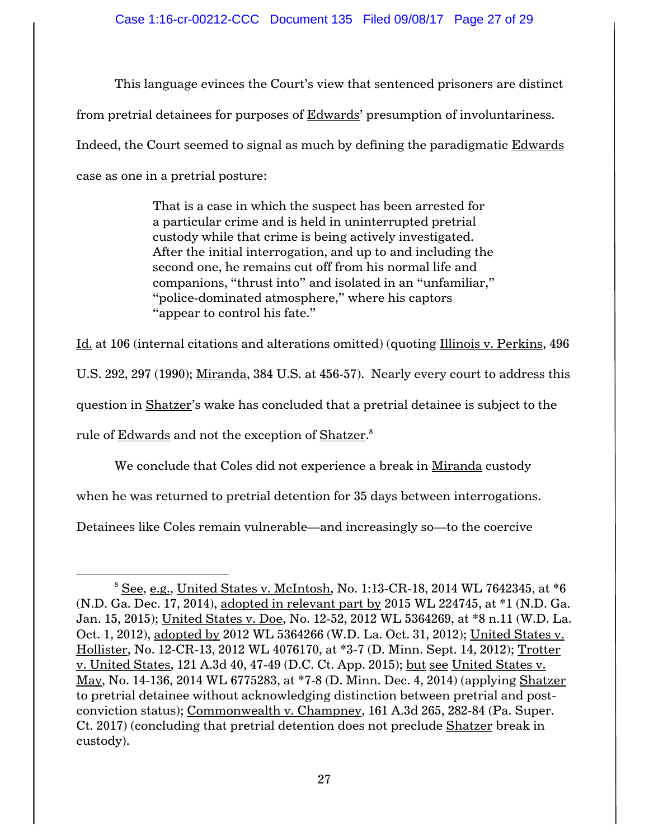This language evinces the Court's view that sentenced prisoners are distinct from pretrial detainees for purposes of **Edwards'** presumption of involuntariness. Indeed, the Court seemed to signal as much by defining the paradigmatic Edwards case as one in a pretrial posture:

> That is a case in which the suspect has been arrested for a particular crime and is held in uninterrupted pretrial custody while that crime is being actively investigated. After the initial interrogation, and up to and including the second one, he remains cut off from his normal life and companions, "thrust into" and isolated in an "unfamiliar," "police-dominated atmosphere," where his captors "appear to control his fate."

Id. at 106 (internal citations and alterations omitted) (quoting Illinois v. Perkins, 496 U.S. 292, 297 (1990); Miranda, 384 U.S. at 456-57). Nearly every court to address this question in Shatzer's wake has concluded that a pretrial detainee is subject to the rule of <u>Edwards</u> and not the exception of <u>Shatzer</u>.<sup>8</sup>

We conclude that Coles did not experience a break in Miranda custody when he was returned to pretrial detention for 35 days between interrogations. Detainees like Coles remain vulnerable—and increasingly so—to the coercive

 $\overline{a}$ 

 $8$  See, e.g., United States v. McIntosh, No. 1:13-CR-18, 2014 WL 7642345, at  $*6$ (N.D. Ga. Dec. 17, 2014), adopted in relevant part by 2015 WL 224745, at \*1 (N.D. Ga. Jan. 15, 2015); United States v. Doe, No. 12-52, 2012 WL 5364269, at \*8 n.11 (W.D. La. Oct. 1, 2012), adopted by 2012 WL 5364266 (W.D. La. Oct. 31, 2012); United States v. Hollister, No. 12-CR-13, 2012 WL 4076170, at \*3-7 (D. Minn. Sept. 14, 2012); Trotter v. United States, 121 A.3d 40, 47-49 (D.C. Ct. App. 2015); but see United States v. May, No. 14-136, 2014 WL 6775283, at \*7-8 (D. Minn. Dec. 4, 2014) (applying Shatzer to pretrial detainee without acknowledging distinction between pretrial and postconviction status); Commonwealth v. Champney, 161 A.3d 265, 282-84 (Pa. Super. Ct. 2017) (concluding that pretrial detention does not preclude Shatzer break in custody).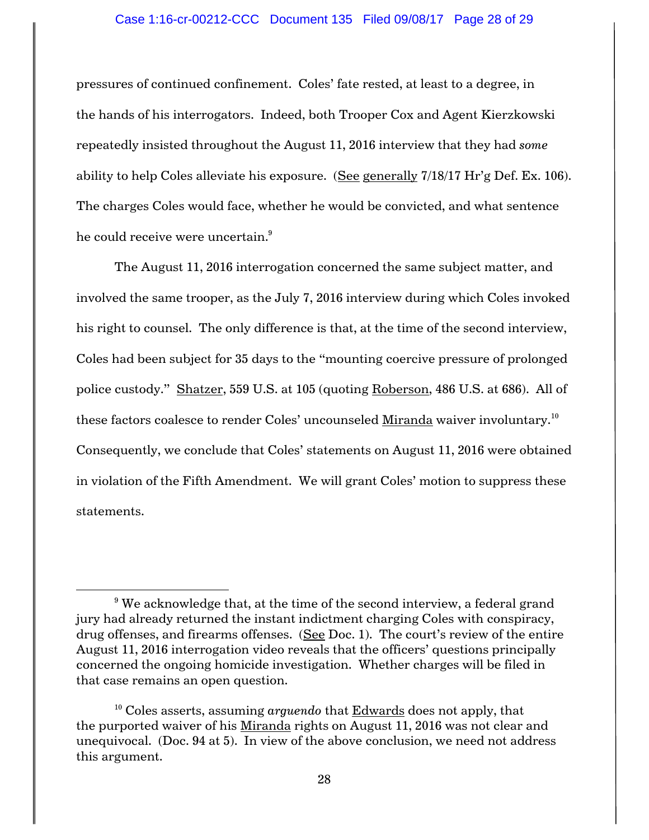pressures of continued confinement. Coles' fate rested, at least to a degree, in the hands of his interrogators. Indeed, both Trooper Cox and Agent Kierzkowski repeatedly insisted throughout the August 11, 2016 interview that they had *some*  ability to help Coles alleviate his exposure. (See generally 7/18/17 Hr'g Def. Ex. 106). The charges Coles would face, whether he would be convicted, and what sentence he could receive were uncertain.<sup>9</sup>

The August 11, 2016 interrogation concerned the same subject matter, and involved the same trooper, as the July 7, 2016 interview during which Coles invoked his right to counsel. The only difference is that, at the time of the second interview, Coles had been subject for 35 days to the "mounting coercive pressure of prolonged police custody." Shatzer, 559 U.S. at 105 (quoting Roberson, 486 U.S. at 686). All of these factors coalesce to render Coles' uncounseled  $\underline{\text{Miranda}}$  waiver involuntary. $^{10}$ Consequently, we conclude that Coles' statements on August 11, 2016 were obtained in violation of the Fifth Amendment. We will grant Coles' motion to suppress these statements.

 $\overline{a}$ 

 $9$  We acknowledge that, at the time of the second interview, a federal grand jury had already returned the instant indictment charging Coles with conspiracy, drug offenses, and firearms offenses. (See Doc. 1). The court's review of the entire August 11, 2016 interrogation video reveals that the officers' questions principally concerned the ongoing homicide investigation. Whether charges will be filed in that case remains an open question.

<sup>&</sup>lt;sup>10</sup> Coles asserts, assuming *arguendo* that **Edwards** does not apply, that the purported waiver of his Miranda rights on August 11, 2016 was not clear and unequivocal. (Doc. 94 at 5). In view of the above conclusion, we need not address this argument.